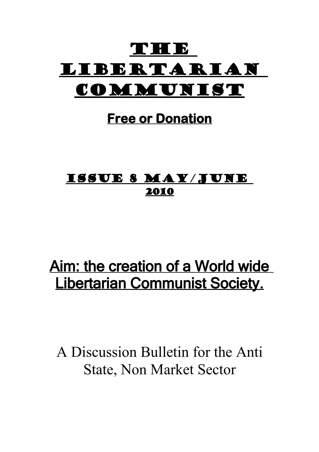# THE B Libertarian COMMUNIST

## **Free or Donation**

## Issue 8 May/June 2010

# Aim: the creation of a World wide Libertarian Communist Society.

A Discussion Bulletin for the Anti State, Non Market Sector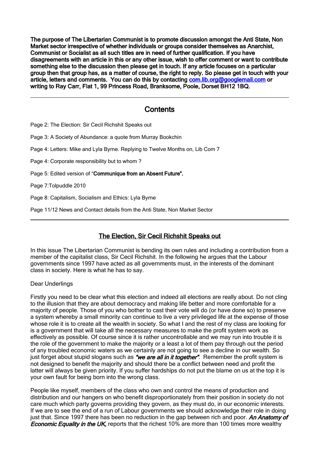The purpose of The Libertarian Communist is to promote discussion amongst the Anti State, Non Market sector irrespective of whether individuals or groups consider themselves as Anarchist, Communist or Socialist as all such titles are in need of further qualification. If you have disagreements with an article in this or any other issue, wish to offer comment or want to contribute something else to the discussion then please get in touch. If any article focuses on a particular group then that group has, as a matter of course, the right to reply. So please get in touch with your article, letters and comments. You can do this by contacting com. lib.org@googlemail.com or writing to Ray Carr, Flat 1, 99 Princess Road, Branksome, Poole, Dorset BH12 1BQ.

## **Contents**

Page 2: The Election: Sir Cecil Richshit Speaks out

Page 3: A Society of Abundance: a quote from Murray Bookchin

Page 4: Letters: Mike and Lyla Byrne. Replying to Twelve Months on, Lib Com 7

Page 4: Corporate responsibility but to whom ?

Page 5: Edited version of "Communique from an Absent Future".

Page 7:Tolpuddle 2010

Page 8: Capitalism, Socialism and Ethics: Lyla Byrne

Page 11/12 News and Contact details from the Anti State, Non Market Sector

## The Election, Sir Cecil Richshit Speaks out

In this issue The Libertarian Communist is bending its own rules and including a contribution from a member of the capitalist class, Sir Cecil Richshit. In the following he argues that the Labour governments since 1997 have acted as all governments must, in the interests of the dominant class in society. Here is what he has to say.

Dear Underlings

Firstly you need to be clear what this election and indeed all elections are really about. Do not cling to the illusion that they are about democracy and making life better and more comfortable for a majority of people. Those of you who bother to cast their vote will do (or have done so) to preserve a system whereby a small minority can continue to live a very privileged life at the expense of those whose role it is to create all the wealth in society. So what I and the rest of my class are looking for is a government that will take all the necessary measures to make the profit system work as effectively as possible. Of course since it is rather uncontrollable and we may run into trouble it is the role of the government to make the majority or a least a lot of them pay through out the period of any troubled economic waters as we certainly are not going to see a decline in our wealth. So just forget about stupid slogans such as "we are all in it together". Remember the profit system is not designed to benefit the majority and should there be a conflict between need and profit the latter will always be given priority. If you suffer hardships do not put the blame on us at the top it is your own fault for being born into the wrong class.

People like myself, members of the class who own and control the means of production and distribution and our hangers on who benefit disproportionately from their position in society do not care much which party governs providing they govern, as they must do, in our economic interests. If we are to see the end of a run of Labour governments we should acknowledge their role in doing just that. Since 1997 there has been no reduction in the gap between rich and poor. An Anatomy of **Economic Equality in the UK, reports that the richest 10% are more than 100 times more wealthy**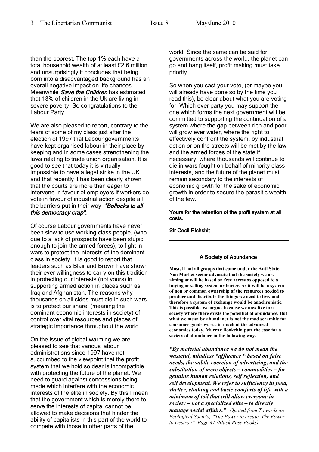than the poorest. The top 1% each have a total household wealth of at least £2.6 million and unsurprisingly it concludes that being born into a disadvantaged background has an overall negative impact on life chances. Meanwhile *Save the Children* has estimated that 13% of children in the Uk are living in severe poverty. So congratulations to the Labour Party.

We are also pleased to report, contrary to the fears of some of my class just after the election of 1997 that Labour governments have kept organised labour in their place by keeping and in some cases strengthening the laws relating to trade union organisation. It is good to see that today it is virtually impossible to have a legal strike in the UK and that recently it has been clearly shown that the courts are more than eager to intervene in favour of employers if workers do vote in favour of industrial action despite all the barriers put in their way. "Bollocks to all this democracy crap".

Of course Labour governments have never been slow to use working class people, (who due to a lack of prospects have been stupid enough to join the armed forces), to fight in wars to protect the interests of the dominant class in society. It is good to report that leaders such as Blair and Brown have shown their ever willingness to carry on this tradition in protecting our interests (not yours) in supporting armed action in places such as Iraq and Afghanistan. The reasons why thousands on all sides must die in such wars is to protect our share, (meaning the dominant economic interests in society) of control over vital resources and places of strategic importance throughout the world.

On the issue of global warming we are pleased to see that various labour administrations since 1997 have not succumbed to the viewpoint that the profit system that we hold so dear is incompatible with protecting the future of the planet. We need to guard against concessions being made which interfere with the economic interests of the elite in society. By this I mean that the government which is merely there to serve the interests of capital cannot be allowed to make decisions that hinder the ability of capitalists in this part of the world to compete with those in other parts of the

world. Since the same can be said for governments across the world, the planet can go and hang itself, profit making must take priority.

So when you cast your vote, (or maybe you will already have done so by the time you read this), be clear about what you are voting for. Which ever party you may support the one which forms the next government will be committed to supporting the continuation of a system where the gap between rich and poor will grow ever wider, where the right to effectively confront the system, by industrial action or on the streets will be met by the law and the armed forces of the state if necessary, where thousands will continue to die in wars fought on behalf of minority class interests, and the future of the planet must remain secondary to the interests of economic growth for the sake of economic growth in order to secure the parasitic wealth of the few.

#### Yours for the retention of the profit system at all costs.

Sir Cecil Richshit

## A Society of Abundance

**Most, if not all groups that come under the Anti State, Non Market sector advocate that the society we are aiming at will be based on free access as opposed to a buying or selling system or barter. As it will be a system of non or common ownership of the resources needed to produce and distribute the things we need to live, and therefore a system of exchange would be anachronistic. This is possible, we argue, because we now live in a society where there exists the potential of abundance. But what we mean by abundance is not the mad scramble for consumer goods we see in much of the advanced economies today. Murray Bookchin puts the case for a society of abundance in the following way.**

*"By material abundance we do not mean the wasteful, mindless "affluence " based on false needs, the subtle coercion of advertising, and the substitution of mere objects – commodities – for genuine human relations, self reflection, and self development. We refer to sufficiency in food, shelter, clothing and basic comforts of life with a minimum of toil that will allow everyone in society – not a specialized elite – to directly manage social affairs." Quoted from Towards an Ecological Society, "The Power to create, The Power to Destroy". Page 41 (Black Rose Books).*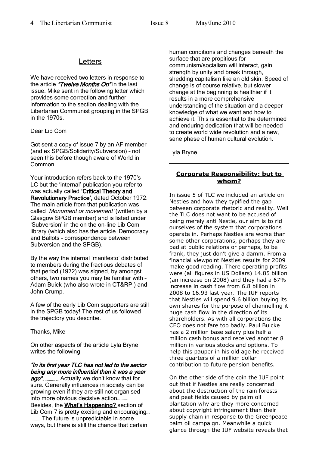## **Letters**

We have received two letters in response to the article "Twelve Months On" in the last issue. Mike sent in the following letter which provides some correction and further information to the section dealing with the Libertarian Communist grouping in the SPGB in the 1970s.

### Dear Lib Com

Got sent a copy of issue 7 by an AF member (and ex SPGB/Solidarity/Subversion) – not seen this before though aware of World in Common.

Your introduction refers back to the 1970's LC but the 'internal' publication you refer to was actually called 'Critical Theory and Revolutionary Practice', dated October 1972. The main article from that publication was called 'Monument or movement' (written by a Glasgow SPGB member) and is listed under 'Subversion' in the on the on-line Lib Com library (which also has the article 'Democracy and Ballots – correspondence between Subversion and the SPGB).

By the way the internal 'manifesto' distributed to members during the fractious debates of that period (1972) was signed, by amongst others, two names you may be familiar with – Adam Buick (who also wrote in CT&RP ) and John Crump.

A few of the early Lib Com supporters are still in the SPGB today! The rest of us followed the trajectory you describe.

#### Thanks, Mike

On other aspects of the article Lyla Bryne writes the following.

"In its first year TLC has not led to the sector being any more influential than it was a year ago". ............ Actually we don't know that for sure. Generally influences in society can be growing even if they are still not organised into more obvious decisive action………. Besides, the What's Happening? section of Lib Com 7 is pretty exciting and encouraging… ……… The future is unpredictable in some ways, but there is still the chance that certain

human conditions and changes beneath the surface that are propitious for communism/socialism will interact, gain strength by unity and break through, shedding capitalism like an old skin. Speed of change is of course relative, but slower change at the beginning is healthier if it results in a more comprehensive understanding of the situation and a deeper knowledge of what we want and how to achieve it. This is essential to the determined and enduring dedication that will be needed to create world wide revolution and a new, sane phase of human cultural evolution.

Lyla Bryne

## **Corporate Responsibility: but to whom?**

In issue 5 of TLC we included an article on Nestles and how they typified the gap between corporate rhetoric and reality. Well the TLC does not want to be accused of being merely anti Nestle, our aim is to rid ourselves of the system that corporations operate in. Perhaps Nestles are worse than some other corporations, perhaps they are bad at public relations or perhaps, to be frank, they just don't give a damm. From a financial viewpoint Nestles results for 2009 make good reading. There operating profits were (all figures in US Dollars) 14.85 billion (an increase on 2008) and they had a 67% increase in cash flow from 6.8 billion in 2008 to 16.93 last year. The IUF reports that Nestles will spend 9.6 billion buying its own shares for the purpose of channelling it huge cash flow in the direction of its shareholders. As with all corporations the CEO does not fare too badly. Paul Bulcke has a 2 million base salary plus half a million cash bonus and received another 8 million in various stocks and options. To help this pauper in his old age he received three quarters of a million dollar contribution to future pension benefits.

On the other side of the coin the IUF point out that if Nestles are really concerned about the destruction of the rain forests and peat fields caused by palm oil plantation why are they more concerned about copyright infringement than their supply chain in response to the Greenpeace palm oil campaign. Meanwhile a quick glance through the IUF website reveals that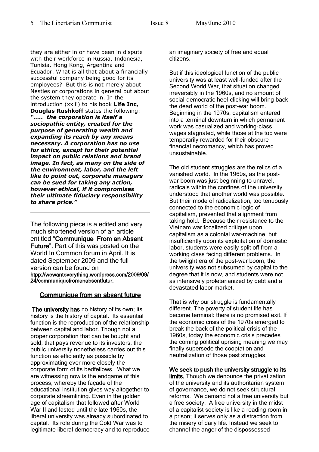they are either in or have been in dispute with their workforce in Russia, Indonesia, Tunisia, Hong Kong, Argentina and Ecuador. What is all that about a financially successful company being good for its employees? But this is not merely about Nestles or corporations in general but about the system they operate in. In the introduction (xxiii) to his book **Life Inc, Douglas Rushkoff** states the following: *"….. the corporation is itself a sociopathic entity, created for the purpose of generating wealth and expanding its reach by any means necessary. A corporation has no use for ethics, except for their potential impact on public relations and brand image. In fact, as many on the side of the environment, labor, and the left like to point out, corporate managers can be sued for taking any action, however ethical, if it compromises their ultimate fiduciary responsibility to share price."* 

The following piece is a edited and very much shortened version of an article entitled "Communique From an Absent Future". Part of this was posted on the World In Common forum in April. It is dated September 2009 and the full version can be found on htpp://wewanteverything.wordpress.com/2009/09/ 24/communiquefromanabsentfutur.

## Communique from an absent future

The university has no history of its own; its history is the history of capital. Its essential function is the reproduction of the relationship between capital and labor. Though not a proper corporation that can be bought and sold, that pays revenue to its investors, the public university nonetheless carries out this function as efficiently as possible by approximating ever more closely the corporate form of its bedfellows. What we are witnessing now is the endgame of this process, whereby the façade of the educational institution gives way altogether to corporate streamlining. Even in the golden age of capitalism that followed after World War II and lasted until the late 1960s, the liberal university was already subordinated to capital. Its role during the Cold War was to legitimate liberal democracy and to reproduce an imaginary society of free and equal citizens.

But if this ideological function of the public university was at least well-funded after the Second World War, that situation changed irreversibly in the 1960s, and no amount of social-democratic heel-clicking will bring back the dead world of the post-war boom. Beginning in the 1970s, capitalism entered into a terminal downturn in which permanent work was casualized and working-class wages stagnated, while those at the top were temporarily rewarded for their obscure financial necromancy, which has proved unsustainable.

The old student struggles are the relics of a vanished world. In the 1960s, as the postwar boom was just beginning to unravel, radicals within the confines of the university understood that another world was possible. But their mode of radicalization, too tenuously connected to the economic logic of capitalism, prevented that alignment from taking hold. Because their resistance to the Vietnam war focalized critique upon capitalism as a colonial war-machine, but insufficiently upon its exploitation of domestic labor, students were easily split off from a working class facing different problems. In the twilight era of the post-war boom, the university was not subsumed by capital to the degree that it is now, and students were not as intensively proletarianized by debt and a devastated labor market.

That is why our struggle is fundamentally different. The poverty of student life has become terminal: there is no promised exit. If the economic crisis of the 1970s emerged to break the back of the political crisis of the 1960s, today the economic crisis precedes the coming political uprising meaning we may finally supersede the cooptation and neutralization of those past struggles.

We seek to push the university struggle to its limits. Though we denounce the privatization of the university and its authoritarian system of governance, we do not seek structural reforms. We demand not a free university but a free society. A free university in the midst of a capitalist society is like a reading room in a prison; it serves only as a distraction from the misery of daily life. Instead we seek to channel the anger of the dispossessed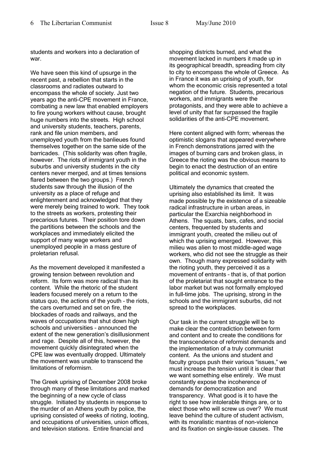students and workers into a declaration of war.

We have seen this kind of upsurge in the recent past, a rebellion that starts in the classrooms and radiates outward to encompass the whole of society. Just two years ago the anti-CPE movement in France, combating a new law that enabled employers to fire young workers without cause, brought huge numbers into the streets. High school and university students, teachers, parents, rank and file union members, and unemployed youth from the banlieues found themselves together on the same side of the barricades. (This solidarity was often fragile, however. The riots of immigrant youth in the suburbs and university students in the city centers never merged, and at times tensions flared between the two groups.) French students saw through the illusion of the university as a place of refuge and enlightenment and acknowledged that they were merely being trained to work. They took to the streets as workers, protesting their precarious futures. Their position tore down the partitions between the schools and the workplaces and immediately elicited the support of many wage workers and unemployed people in a mass gesture of proletarian refusal.

As the movement developed it manifested a growing tension between revolution and reform. Its form was more radical than its content. While the rhetoric of the student leaders focused merely on a return to the status quo, the actions of the youth – the riots, the cars overturned and set on fire, the blockades of roads and railways, and the waves of occupations that shut down high schools and universities – announced the extent of the new generation's disillusionment and rage. Despite all of this, however, the movement quickly disintegrated when the CPE law was eventually dropped. Ultimately the movement was unable to transcend the limitations of reformism.

The Greek uprising of December 2008 broke through many of these limitations and marked the beginning of a new cycle of class struggle. Initiated by students in response to the murder of an Athens youth by police, the uprising consisted of weeks of rioting, looting, and occupations of universities, union offices, and television stations. Entire financial and

shopping districts burned, and what the movement lacked in numbers it made up in its geographical breadth, spreading from city to city to encompass the whole of Greece. As in France it was an uprising of youth, for whom the economic crisis represented a total negation of the future. Students, precarious workers, and immigrants were the protagonists, and they were able to achieve a level of unity that far surpassed the fragile solidarities of the anti-CPE movement.

Here content aligned with form; whereas the optimistic slogans that appeared everywhere in French demonstrations jarred with the images of burning cars and broken glass, in Greece the rioting was the obvious means to begin to enact the destruction of an entire political and economic system.

Ultimately the dynamics that created the uprising also established its limit. It was made possible by the existence of a sizeable radical infrastructure in urban areas, in particular the Exarchia neighborhood in Athens. The squats, bars, cafes, and social centers, frequented by students and immigrant youth, created the milieu out of which the uprising emerged. However, this milieu was alien to most middle-aged wage workers, who did not see the struggle as their own. Though many expressed solidarity with the rioting youth, they perceived it as a movement of entrants – that is, of that portion of the proletariat that sought entrance to the labor market but was not formally employed in full-time jobs. The uprising, strong in the schools and the immigrant suburbs, did not spread to the workplaces.

Our task in the current struggle will be to make clear the contradiction between form and content and to create the conditions for the transcendence of reformist demands and the implementation of a truly communist content. As the unions and student and faculty groups push their various "issues," we must increase the tension until it is clear that we want something else entirely. We must constantly expose the incoherence of demands for democratization and transparency. What good is it to have the right to see how intolerable things are, or to elect those who will screw us over? We must leave behind the culture of student activism, with its moralistic mantras of non-violence and its fixation on single-issue causes. The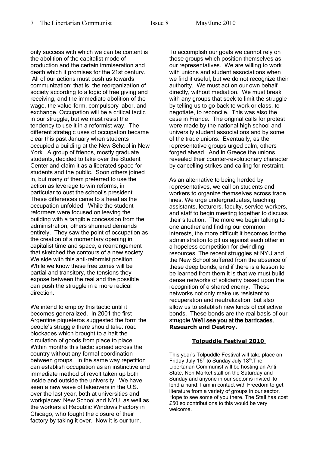only success with which we can be content is the abolition of the capitalist mode of production and the certain immiseration and death which it promises for the 21st century. All of our actions must push us towards communization; that is, the reorganization of society according to a logic of free giving and receiving, and the immediate abolition of the wage, the value-form, compulsory labor, and exchange. Occupation will be a critical tactic in our struggle, but we must resist the tendency to use it in a reformist way. The different strategic uses of occupation became clear this past January when students occupied a building at the New School in New York. A group of friends, mostly graduate students, decided to take over the Student Center and claim it as a liberated space for students and the public. Soon others joined in, but many of them preferred to use the action as leverage to win reforms, in particular to oust the school's president. These differences came to a head as the occupation unfolded. While the student reformers were focused on leaving the building with a tangible concession from the administration, others shunned demands entirely. They saw the point of occupation as the creation of a momentary opening in capitalist time and space, a rearrangement that sketched the contours of a new society. We side with this anti-reformist position. While we know these free zones will be partial and transitory, the tensions they expose between the real and the possible can push the struggle in a more radical direction.

We intend to employ this tactic until it becomes generalized. In 2001 the first Argentine piqueteros suggested the form the people's struggle there should take: road blockades which brought to a halt the circulation of goods from place to place. Within months this tactic spread across the country without any formal coordination between groups. In the same way repetition can establish occupation as an instinctive and immediate method of revolt taken up both inside and outside the university. We have seen a new wave of takeovers in the U.S. over the last year, both at universities and workplaces: New School and NYU, as well as the workers at Republic Windows Factory in Chicago, who fought the closure of their factory by taking it over. Now it is our turn.

To accomplish our goals we cannot rely on those groups which position themselves as our representatives. We are willing to work with unions and student associations when we find it useful, but we do not recognize their authority. We must act on our own behalf directly, without mediation. We must break with any groups that seek to limit the struggle by telling us to go back to work or class, to negotiate, to reconcile. This was also the case in France. The original calls for protest were made by the national high school and university student associations and by some of the trade unions. Eventually, as the representative groups urged calm, others forged ahead. And in Greece the unions revealed their counter-revolutionary character by cancelling strikes and calling for restraint.

As an alternative to being herded by representatives, we call on students and workers to organize themselves across trade lines. We urge undergraduates, teaching assistants, lecturers, faculty, service workers, and staff to begin meeting together to discuss their situation. The more we begin talking to one another and finding our common interests, the more difficult it becomes for the administration to pit us against each other in a hopeless competition for dwindling resources. The recent struggles at NYU and the New School suffered from the absence of these deep bonds, and if there is a lesson to be learned from them it is that we must build dense networks of solidarity based upon the recognition of a shared enemy. These networks not only make us resistant to recuperation and neutralization, but also allow us to establish new kinds of collective bonds. These bonds are the real basis of our struggle.We'll see you at the barricades. **Research and Destroy.**

## **Tolpuddle Festival 2010**

This year's Tolpuddle Festival will take place on Friday July 16<sup>th</sup> to Sunday July 18<sup>th</sup>. The Libertarian Communist will be hosting an Anti State, Non Market stall on the Saturday and Sunday and anyone in our sector is invited to lend a hand. I am in contact with Freedom to get literature from a variety of groups in our sector. Hope to see some of you there. The Stall has cost £50 so contributions to this would be very welcome.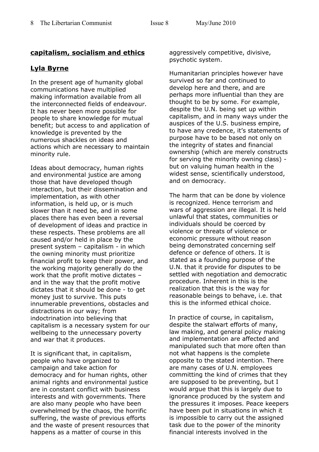## **capitalism, socialism and ethics**

## **Lyla Byrne**

In the present age of humanity global communications have multiplied making information available from all the interconnected fields of endeavour. It has never been more possible for people to share knowledge for mutual benefit; but access to and application of knowledge is prevented by the numerous shackles on ideas and actions which are necessary to maintain minority rule.

Ideas about democracy, human rights and environmental justice are among those that have developed though interaction, but their dissemination and implementation, as with other information, is held up, or is much slower than it need be, and in some places there has even been a reversal of development of ideas and practice in these respects. These problems are all caused and/or held in place by the present system – capitalism - in which the owning minority must prioritize financial profit to keep their power, and the working majority generally do the work that the profit motive dictates – and in the way that the profit motive dictates that it should be done - to get money just to survive. This puts innumerable preventions, obstacles and distractions in our way; from indoctrination into believing that capitalism is a necessary system for our wellbeing to the unnecessary poverty and war that it produces.

It is significant that, in capitalism, people who have organized to campaign and take action for democracy and for human rights, other animal rights and environmental justice are in constant conflict with business interests and with governments. There are also many people who have been overwhelmed by the chaos, the horrific suffering, the waste of previous efforts and the waste of present resources that happens as a matter of course in this

aggressively competitive, divisive, psychotic system.

Humanitarian principles however have survived so far and continued to develop here and there, and are perhaps more influential than they are thought to be by some. For example, despite the U.N. being set up within capitalism, and in many ways under the auspices of the U.S. business empire, to have any credence, it's statements of purpose have to be based not only on the integrity of states and financial ownership (which are merely constructs for serving the minority owning class) but on valuing human health in the widest sense, scientifically understood, and on democracy.

The harm that can be done by violence is recognized. Hence terrorism and wars of aggression are illegal. It is held unlawful that states, communities or individuals should be coerced by violence or threats of violence or economic pressure without reason being demonstrated concerning self defence or defence of others. It is stated as a founding purpose of the U.N. that it provide for disputes to be settled with negotiation and democratic procedure. Inherent in this is the realization that this is the way for reasonable beings to behave, i.e. that this is the informed ethical choice.

In practice of course, in capitalism, despite the stalwart efforts of many, law making, and general policy making and implementation are affected and manipulated such that more often than not what happens is the complete opposite to the stated intention. There are many cases of U.N. employees committing the kind of crimes that they are supposed to be preventing, but I would argue that this is largely due to ignorance produced by the system and the pressures it imposes. Peace keepers have been put in situations in which it is impossible to carry out the assigned task due to the power of the minority financial interests involved in the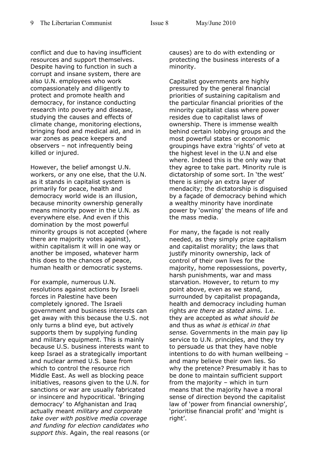conflict and due to having insufficient resources and support themselves. Despite having to function in such a corrupt and insane system, there are also U.N. employees who work compassionately and diligently to protect and promote health and democracy, for instance conducting research into poverty and disease, studying the causes and effects of climate change, monitoring elections, bringing food and medical aid, and in war zones as peace keepers and observers – not infrequently being killed or injured.

However, the belief amongst U.N. workers, or any one else, that the U.N. as it stands in capitalist system is primarily for peace, health and democracy world wide is an illusion, because minority ownership generally means minority power in the U.N. as everywhere else. And even if this domination by the most powerful minority groups is not accepted (where there are majority votes against), within capitalism it will in one way or another be imposed, whatever harm this does to the chances of peace, human health or democratic systems.

For example, numerous U.N. resolutions against actions by Israeli forces in Palestine have been completely ignored. The Israeli government and business interests can get away with this because the U.S. not only turns a blind eye, but actively supports them by supplying funding and military equipment. This is mainly because U.S. business interests want to keep Israel as a strategically important and nuclear armed U.S. base from which to control the resource rich Middle East. As well as blocking peace initiatives, reasons given to the U.N. for sanctions or war are usually fabricated or insincere and hypocritical. 'Bringing democracy' to Afghanistan and Iraq actually meant *military and corporate take over with positive media coverage and funding for election candidates who support this*. Again, the real reasons (or

causes) are to do with extending or protecting the business interests of a minority.

Capitalist governments are highly pressured by the general financial priorities of sustaining capitalism and the particular financial priorities of the minority capitalist class where power resides due to capitalist laws of ownership. There is immense wealth behind certain lobbying groups and the most powerful states or economic groupings have extra 'rights' of veto at the highest level in the U.N and else where. Indeed this is the only way that they agree to take part. Minority rule is dictatorship of some sort. In 'the west' there is simply an extra layer of mendacity; the dictatorship is disguised by a façade of democracy behind which a wealthy minority have inordinate power by 'owning' the means of life and the mass media.

For many, the façade is not really needed, as they simply prize capitalism and capitalist morality; the laws that justify minority ownership, lack of control of their own lives for the majority, home repossessions, poverty, harsh punishments, war and mass starvation. However, to return to my point above, even as we stand, surrounded by capitalist propaganda, health and democracy including human rights *are there as stated aims.* I.e. they are accepted as *what should be* and thus as *what is ethical in that sense.* Governments in the main pay lip service to U.N. principles, and they try to persuade us that they have noble intentions to do with human wellbeing – and many believe their own lies. So why the pretence? Presumably it has to be done to maintain sufficient support from the majority – which in turn means that the majority have a moral sense of direction beyond the capitalist law of 'power from financial ownership', 'prioritise financial profit' and 'might is right'.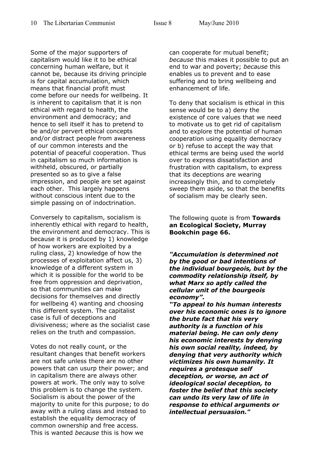Some of the major supporters of capitalism would like it to be ethical concerning human welfare, but it cannot be, because its driving principle is for capital accumulation, which means that financial profit must come before our needs for wellbeing. It is inherent to capitalism that it is non ethical with regard to health, the environment and democracy; and hence to sell itself it has to pretend to be and/or pervert ethical concepts and/or distract people from awareness of our common interests and the potential of peaceful cooperation. Thus in capitalism so much information is withheld, obscured, or partially presented so as to give a false impression, and people are set against each other. This largely happens without conscious intent due to the simple passing on of indoctrination.

Conversely to capitalism, socialism is inherently ethical with regard to health, the environment and democracy. This is because it is produced by 1) knowledge of how workers are exploited by a ruling class, 2) knowledge of how the processes of exploitation affect us, 3) knowledge of a different system in which it is possible for the world to be free from oppression and deprivation, so that communities can make decisions for themselves and directly for wellbeing 4) wanting and choosing this different system. The capitalist case is full of deceptions and divisiveness; where as the socialist case relies on the truth and compassion.

Votes do not really count, or the resultant changes that benefit workers are not safe unless there are no other powers that can usurp their power; and in capitalism there are always other powers at work. The only way to solve this problem is to change the system. Socialism is about the power of the majority to unite for this purpose; to do away with a ruling class and instead to establish the equality democracy of common ownership and free access. This is wanted *because* this is how we

can cooperate for mutual benefit; *because* this makes it possible to put an end to war and poverty; *because* this enables us to prevent and to ease suffering and to bring wellbeing and enhancement of life.

To deny that socialism is ethical in this sense would be to a) deny the existence of core values that we need to motivate us to get rid of capitalism and to explore the potential of human cooperation using equality democracy or b) refuse to accept the way that ethical terms are being used the world over to express dissatisfaction and frustration with capitalism, to express that its deceptions are wearing increasingly thin, and to completely sweep them aside, so that the benefits of socialism may be clearly seen.

The following quote is from **Towards an Ecological Society, Murray Bookchin page 66.**

*"Accumulation is determined not by the good or bad intentions of the individual bourgeois, but by the commodity relationship itself, by what Marx so aptly called the cellular unit of the bourgeois economy".* 

*"To appeal to his human interests over his economic ones is to ignore the brute fact that his very authority is a function of his material being. He can only deny his economic interests by denying his own social reality, indeed, by denying that very authority which victimizes his own humanity. It requires a grotesque self deception, or worse, an act of ideological social deception, to foster the belief that this society can undo its very law of life in response to ethical arguments or intellectual persuasion."*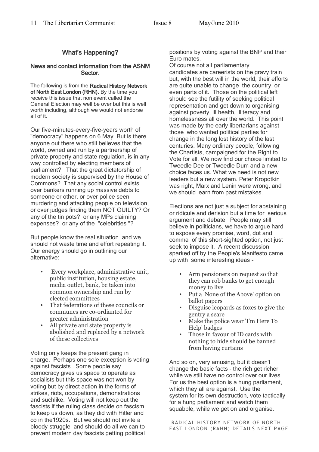## What's Happening?

#### News and contact information from the ASNM Sector.

The following is from the Radical History Network of North East London (RHN). By the time you receive this issue that non event called the General Election may well be over but this is well worth including, although we would not endorse all of it.

Our five-minutes-every-five-years worth of "democracy" happens on 6 May. But is there anyone out there who still believes that the world, owned and run by a partnership of private property and state regulation, is in any way controlled by electing members of parliament? That the great dictatorship of modern society is supervised by the House of Commons? That any social control exists over bankers running up massive debts to someone or other, or over police seen murdering and attacking people on television, or over judges finding them NOT GUILTY? Or any of the tin pots? or any MPs claiming expenses? or any of the "celebrities "?

But people know the real situation and we should not waste time and effort repeating it. Our energy should go in outlining our alternative:

- Every workplace, administrative unit, public institution, housing estate, media outlet, bank, be taken into common ownership and run by elected committees
- That federations of these councils or communes are co-ordianted for greater administration
- All private and state property is abolished and replaced by a network of these collectives

Voting only keeps the present gang in charge. Perhaps one sole exception is voting against fascists . Some people say democracy gives us space to operate as socialists but this space was not won by voting but by direct action in the forms of strikes, riots, occupations, demonstrations and suchlike. Voting will not keep out the fascists if the ruling class decide on fascism to keep us down, as they did with Hitler and co in the1920s. But we should not invite a bloody struggle and should do all we can to prevent modern day fascists getting political

positions by voting against the BNP and their Euro mates.

Of course not all parliamentary candidates are careerists on the gravy train but, with the best will in the world, their efforts are quite unable to change the country, or even parts of it. Those on the political left should see the futility of seeking political representation and get down to organising against poverty, ill health, illiteracy and homelessness all over the world. This point was made by the early libertarians against those who wanted political parties for change in the long lost history of the last centuries. Many ordinary people, following the Chartists, campaigned for the Right to Vote for all. We now find our choice limited to Tweedle Dee or Tweedle Dum and a new choice faces us. What we need is not new leaders but a new system. Peter Kropotkin was right, Marx and Lenin were wrong, and we should learn from past mistakes.

Elections are not just a subject for abstaining or ridicule and derision but a time for serious argument and debate. People may still believe in politicians, we have to argue hard to expose every promise, word, dot and comma of this short-sighted option, not just seek to impose it. A recent discussion sparked off by the People's Manifesto came up with some interesting ideas -

- Arm pensioners on request so that they can rob banks to get enough money to live
- Put a 'None of the Above' option on ballot papers
- Disguise leopards as foxes to give the gentry a scare
- Make the police wear 'I'm Here To Help' badges
- Those in favour of ID cards with nothing to hide should be banned from having curtains

And so on, very amusing, but it doesn't change the basic facts - the rich get richer while we still have no control over our lives. For us the best option is a hung parliament, which they all are against. Use the system for its own destruction, vote tactically for a hung parliament and watch them squabble, while we get on and organise.

RADICAL HISTORY NETWORK OF NORTH EAST LONDON (RAHN) DETAILS NEXT PAGE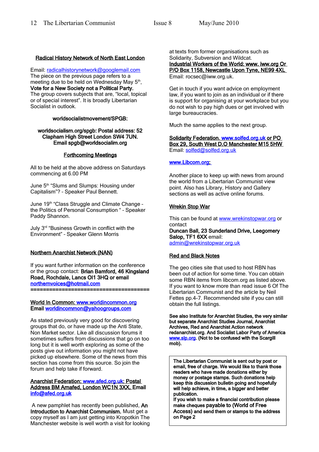## Radical History Network of North East London

Email: [radicalhistorynetwork@googlemail.com](mailto:radicalhistorynetwork@googlemail.com) The piece on the previous page refers to a meeting due to be held on Wednesday May 5<sup>th</sup>, Vote for a New Society not a Political Party. The group covers subjects that are, "local, topical or of special interest". It is broadly Libertarian Socialist in outlook.

#### worldsocialistmovement/SPGB:

#### worldsocialism.org/spgb: Postal address: 52 Clapham High Street London SW4 7UN. Email spgb@worldsocialim.org

### Forthcoming Meetings

All to be held at the above address on Saturdays commencing at 6.00 PM

June 5<sup>th</sup> "Slums and Slumps: Housing under Capitalism"? – Speaker Paul Bennett.

June 19<sup>th</sup> "Class Struggle and Climate Change the Politics of Personal Consumption " – Speaker Paddy Shannon.

July 3rd "Business Growth in conflict with the Environment" – Speaker Glenn Morris

#### Northern Anarchist Network (NAN)

If you want further information on the conference or the group contact: Brian Bamford, 46 Kingsland Road, Rochdale, Lancs Ol1 3HQ or email [northernvoices@hotmail.com](mailto:northernvoices@hotmail.com)  ======================================

#### World In Common: [www.worldincommon.org](http://www.worldincommon.org/) Email [worldincommon@yahoogroups.com](mailto:worldincommon@yahoogroups.com)

As stated previously very good for discovering groups that do, or have made up the Anti State, Non Market sector. Like all discussion forums it sometimes suffers from discussions that go on too long but it is well worth exploring as some of the posts give out information you might not have picked up elsewhere. Some of the news from this section has come from this source. So join the forum and help take if forward.

#### Anarchist Federation: [www.afed.org.uk :](http://www.afed.org.uk/) Postal Address BM Arnafed, London WC1N 3XX. Email [info@afed.org.uk](mailto:info@afed.org.uk)

 A new pamphlet has recently been published, An Introduction to Anarchist Communism. Must get a copy myself as I am just getting into Kropotkin The Manchester website is well worth a visit for looking at texts from former organisations such as Solidarity, Subversion and Wildcat. Industrial Workers of the World: www. iww.org Or P/O Box 1158, Newcastle Upon Tyne, NE99 4XL Email: rocsec@iww.org.uk.

Get in touch if you want advice on employment law, if you want to join as an individual or if there is support for organising at your workplace but you do not wish to pay high dues or get involved with large bureaucracies.

Much the same applies to the next group.

 Solidarity Federation. [www.solfed.org.uk](http://www.solfed.org.uk/) or PO Box 29, South West D.O Manchester M15 5HW Email: [solfed@solfed.org.uk](mailto:solfed@solfed.org.uk)

#### www.Libcom.org;

Another place to keep up with news from around the world from a Libertarian Communist view point. Also has Library, History and Gallery sections as well as active online forums.

## Wrekin Stop War

This can be found at [www.wrekinstopwar.org](http://www.wrekinstopwar.org/) or contact

Duncan Ball, 23 Sunderland Drive, Leegomery Salop, TF1 6XX email: [admin@wrekinstopwar.org.uk](mailto:admin@wrekinstopwar.org.uk)

## Red and Black Notes

The geo cities site that used to host RBN has been out of action for some time. You can obtain some RBN items from libcom.org as listed above. If you want to know more than read issue 6 Of The Libertarian Communist and the article by Neil Fettes pp.4-7. Recommended site if you can still obtain the full listings.

See also Institute for Anarchist Studies, the very similar but separate Anarchist Studies Journal, Anarchist Archives, Red and Anarchist Action network redanarchist.org. And Socialist Labor Party of America [www.slp.org.](http://www.slp.org/) (Not to be confused with the Scargill mob).

The Libertarian Communist is sent out by post or email, free of charge. We would like to thank those readers who have made donations either by money or postage stamps. Such donations help keep this discussion bulletin going and hopefully will help achieve, in time, a bigger and better publication.

If you wish to make a financial contribution please make cheques payable to (World of Free Access) and send them or stamps to the address on Page 2